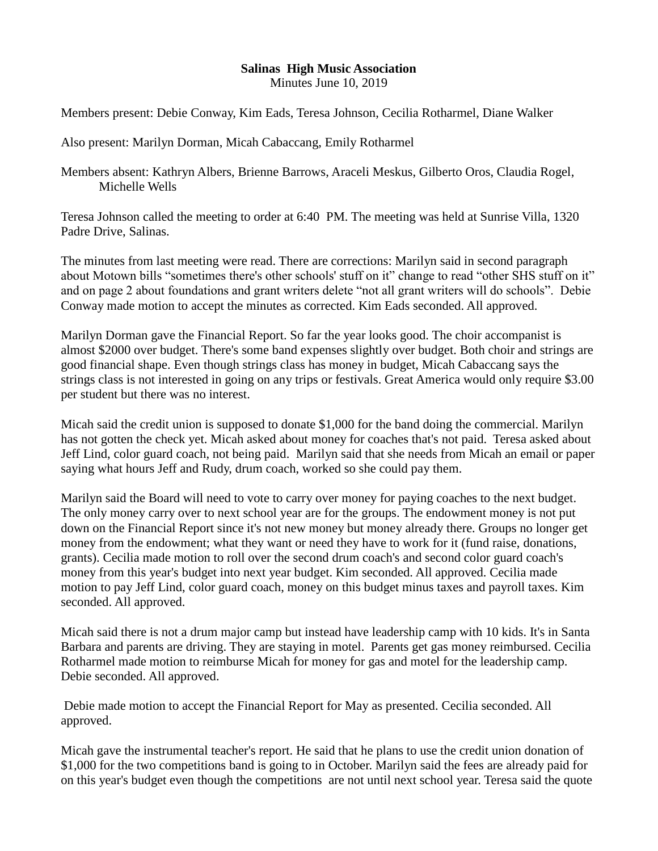## **Salinas High Music Association** Minutes June 10, 2019

Members present: Debie Conway, Kim Eads, Teresa Johnson, Cecilia Rotharmel, Diane Walker

Also present: Marilyn Dorman, Micah Cabaccang, Emily Rotharmel

Members absent: Kathryn Albers, Brienne Barrows, Araceli Meskus, Gilberto Oros, Claudia Rogel, Michelle Wells

Teresa Johnson called the meeting to order at 6:40 PM. The meeting was held at Sunrise Villa, 1320 Padre Drive, Salinas.

The minutes from last meeting were read. There are corrections: Marilyn said in second paragraph about Motown bills "sometimes there's other schools' stuff on it" change to read "other SHS stuff on it" and on page 2 about foundations and grant writers delete "not all grant writers will do schools". Debie Conway made motion to accept the minutes as corrected. Kim Eads seconded. All approved.

Marilyn Dorman gave the Financial Report. So far the year looks good. The choir accompanist is almost \$2000 over budget. There's some band expenses slightly over budget. Both choir and strings are good financial shape. Even though strings class has money in budget, Micah Cabaccang says the strings class is not interested in going on any trips or festivals. Great America would only require \$3.00 per student but there was no interest.

Micah said the credit union is supposed to donate \$1,000 for the band doing the commercial. Marilyn has not gotten the check yet. Micah asked about money for coaches that's not paid. Teresa asked about Jeff Lind, color guard coach, not being paid. Marilyn said that she needs from Micah an email or paper saying what hours Jeff and Rudy, drum coach, worked so she could pay them.

Marilyn said the Board will need to vote to carry over money for paying coaches to the next budget. The only money carry over to next school year are for the groups. The endowment money is not put down on the Financial Report since it's not new money but money already there. Groups no longer get money from the endowment; what they want or need they have to work for it (fund raise, donations, grants). Cecilia made motion to roll over the second drum coach's and second color guard coach's money from this year's budget into next year budget. Kim seconded. All approved. Cecilia made motion to pay Jeff Lind, color guard coach, money on this budget minus taxes and payroll taxes. Kim seconded. All approved.

Micah said there is not a drum major camp but instead have leadership camp with 10 kids. It's in Santa Barbara and parents are driving. They are staying in motel. Parents get gas money reimbursed. Cecilia Rotharmel made motion to reimburse Micah for money for gas and motel for the leadership camp. Debie seconded. All approved.

Debie made motion to accept the Financial Report for May as presented. Cecilia seconded. All approved.

Micah gave the instrumental teacher's report. He said that he plans to use the credit union donation of \$1,000 for the two competitions band is going to in October. Marilyn said the fees are already paid for on this year's budget even though the competitions are not until next school year. Teresa said the quote